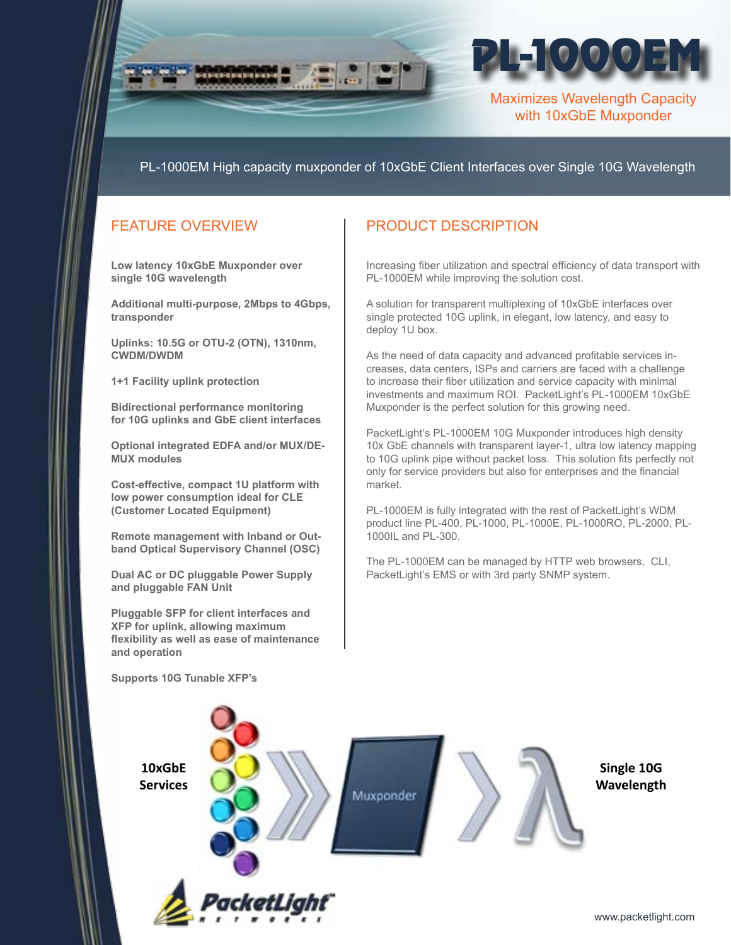

PL-1000EM High capacity muxponder of 10xGbE Client Interfaces over Single 10G Wavelength

## FEATURE OVERVIEW

**Low latency 10xGbE Muxponder over single 10G wavelength** 

**Additional multi-purpose, 2Mbps to 4Gbps, transponder**

**Uplinks: 10.5G or OTU-2 (OTN), 1310nm, CWDM/DWDM**

**1+1 Facility uplink protection**

**Bidirectional performance monitoring for 10G uplinks and GbE client interfaces**

**Optional integrated EDFA and/or MUX/DE-MUX modules**

**Cost-effective, compact 1U platform with low power consumption ideal for CLE (Customer Located Equipment)**

**Remote management with Inband or Outband Optical Supervisory Channel (OSC)** 

**Dual AC or DC pluggable Power Supply and pluggable FAN Unit**

**Pluggable SFP for client interfaces and XFP for uplink, allowing maximum flexibility as well as ease of maintenance and operation**

## PRODUCT DESCRIPTION

Increasing fiber utilization and spectral efficiency of data transport with PL-1000EM while improving the solution cost.

A solution for transparent multiplexing of 10xGbE interfaces over single protected 10G uplink, in elegant, low latency, and easy to deploy 1U box.

As the need of data capacity and advanced profitable services increases, data centers, ISPs and carriers are faced with a challenge to increase their fiber utilization and service capacity with minimal investments and maximum ROI. PacketLight's PL-1000EM 10xGbE Muxponder is the perfect solution for this growing need.

PacketLight's PL-1000EM 10G Muxponder introduces high density 10x GbE channels with transparent layer-1, ultra low latency mapping to 10G uplink pipe without packet loss. This solution fits perfectly not only for service providers but also for enterprises and the financial market.

PL-1000EM is fully integrated with the rest of PacketLight's WDM product line PL-400, PL-1000, PL-1000E, PL-1000RO, PL-2000, PL-1000IL and PL-300.

The PL-1000EM can be managed by HTTP web browsers, CLI, PacketLight's EMS or with 3rd party SNMP system.



**Supports 10G Tunable XFP's**